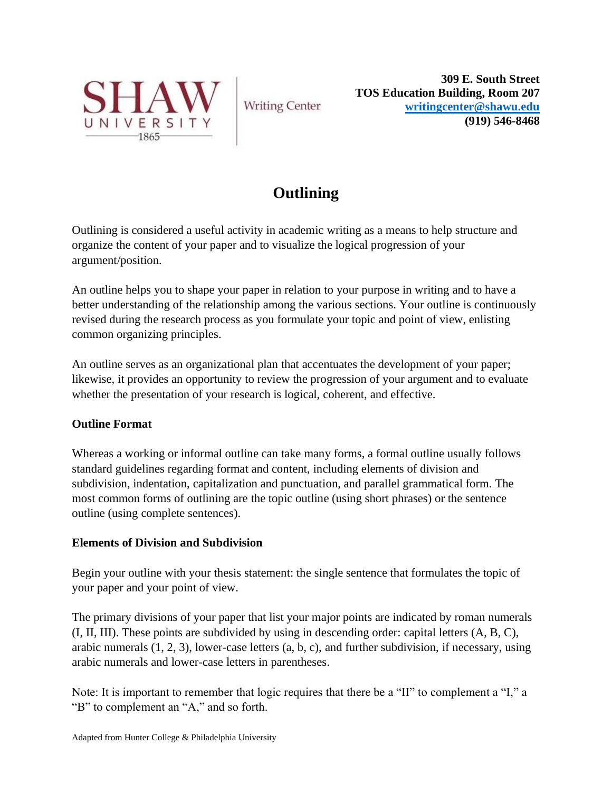

**Writing Center** 

**309 E. South Street TOS Education Building, Room 207 [writingcenter@shawu.edu](mailto:writingcenter@shawu.edu) (919) 546-8468**

# **Outlining**

Outlining is considered a useful activity in academic writing as a means to help structure and organize the content of your paper and to visualize the logical progression of your argument/position.

An outline helps you to shape your paper in relation to your purpose in writing and to have a better understanding of the relationship among the various sections. Your outline is continuously revised during the research process as you formulate your topic and point of view, enlisting common organizing principles.

An outline serves as an organizational plan that accentuates the development of your paper; likewise, it provides an opportunity to review the progression of your argument and to evaluate whether the presentation of your research is logical, coherent, and effective.

# **Outline Format**

Whereas a working or informal outline can take many forms, a formal outline usually follows standard guidelines regarding format and content, including elements of division and subdivision, indentation, capitalization and punctuation, and parallel grammatical form. The most common forms of outlining are the topic outline (using short phrases) or the sentence outline (using complete sentences).

# **Elements of Division and Subdivision**

Begin your outline with your thesis statement: the single sentence that formulates the topic of your paper and your point of view.

The primary divisions of your paper that list your major points are indicated by roman numerals (I, II, III). These points are subdivided by using in descending order: capital letters (A, B, C), arabic numerals (1, 2, 3), lower-case letters (a, b, c), and further subdivision, if necessary, using arabic numerals and lower-case letters in parentheses.

Note: It is important to remember that logic requires that there be a "II" to complement a "I," a "B" to complement an "A," and so forth.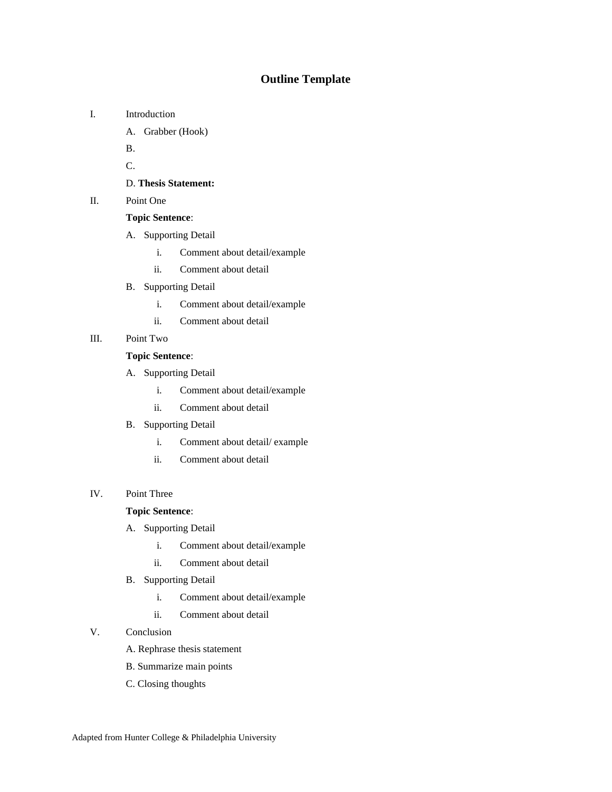# **Outline Template**

- I. Introduction
	- A. Grabber (Hook)
	- B.

C.

### D. **Thesis Statement:**

II. Point One

### **Topic Sentence**:

- A. Supporting Detail
	- i. Comment about detail/example
	- ii. Comment about detail
- B. Supporting Detail
	- i. Comment about detail/example
	- ii. Comment about detail
- III. Point Two

#### **Topic Sentence**:

- A. Supporting Detail
	- i. Comment about detail/example
	- ii. Comment about detail
- B. Supporting Detail
	- i. Comment about detail/ example
	- ii. Comment about detail

#### IV. Point Three

## **Topic Sentence**:

- A. Supporting Detail
	- i. Comment about detail/example
	- ii. Comment about detail
- B. Supporting Detail
	- i. Comment about detail/example
	- ii. Comment about detail

### V. Conclusion

- A. Rephrase thesis statement
- B. Summarize main points
- C. Closing thoughts